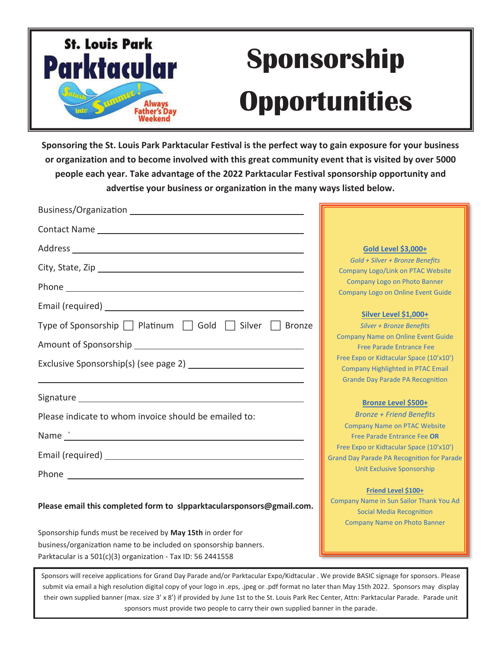

## **Sponsorship Opportunities**

**Sponsoring the St. Louis Park Parktacular Festival is the perfect way to gain exposure for your business or organization and to become involved with this great community event that is visited by over 5000 people each year. Take advantage of the 2022 Parktacular Festival sponsorship opportunity and adverƟse your business or organizaƟon in the many ways listed below.**

| Contact Name Lawrence and Contact Name                                |                                                                                                                                          |
|-----------------------------------------------------------------------|------------------------------------------------------------------------------------------------------------------------------------------|
|                                                                       | Gold Level \$3,000+                                                                                                                      |
|                                                                       | Gold + Silver + Bronze Benefits<br><b>Company Logo/Link on PTAC Website</b>                                                              |
|                                                                       | <b>Company Logo on Photo Banner</b>                                                                                                      |
|                                                                       | <b>Company Logo on Online Event Guide</b>                                                                                                |
| Type of Sponsorship     Platinum     Gold     Silver     Bronze       | Silver Level \$1,000+<br><b>Silver + Bronze Benefits</b><br><b>Company Name on Online Event Guide</b>                                    |
|                                                                       | Free Parade Entrance Fee                                                                                                                 |
|                                                                       | Free Expo or Kidtacular Space (10'x10')<br><b>Company Highlighted in PTAC Email</b>                                                      |
|                                                                       | <b>Grande Day Parade PA Recognition</b>                                                                                                  |
|                                                                       | <b>Bronze Level \$500+</b>                                                                                                               |
| Please indicate to whom invoice should be emailed to:                 | <b>Bronze + Friend Benefits</b>                                                                                                          |
|                                                                       | <b>Company Name on PTAC Website</b><br>Free Parade Entrance Fee OR                                                                       |
|                                                                       | Free Expo or Kidtacular Space (10'x10')                                                                                                  |
|                                                                       | <b>Grand Day Parade PA Recognition for Parade</b><br><b>Unit Exclusive Sponsorship</b>                                                   |
|                                                                       |                                                                                                                                          |
| Please email this completed form to slpparktacularsponsors@gmail.com. | Friend Level \$100+<br>Company Name in Sun Sailor Thank You Ad<br><b>Social Media Recognition</b><br><b>Company Name on Photo Banner</b> |
| Sponsorship funds must be received by May 15th in order for           |                                                                                                                                          |

Sponsors will receive applications for Grand Day Parade and/or Parktacular Expo/Kidtacular . We provide BASIC signage for sponsors. Please submit via email a high resolution digital copy of your logo in .eps, .jpeg or .pdf format no later than May 15th 2022. Sponsors may display their own supplied banner (max. size 3' x 8') if provided by June 1st to the St. Louis Park Rec Center, Attn: Parktacular Parade. Parade unit sponsors must provide two people to carry their own supplied banner in the parade.

business/organization name to be included on sponsorship banners.

Parktacular is a 501(c)(3) organization - Tax ID: 56 2441558